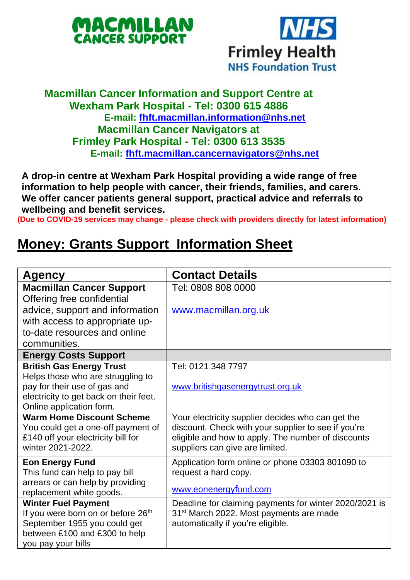



## **Macmillan Cancer Information and Support Centre at Wexham Park Hospital - Tel: 0300 615 4886 E-mail: [fhft.macmillan.information@nhs.net](mailto:fhft.macmillan.information@nhs.net) Macmillan Cancer Navigators at Frimley Park Hospital - Tel: 0300 613 3535 E-mail: [fhft.macmillan.cancernavigators@nhs.net](mailto:fhft.macmillan.cancernavigators@nhs.net)**

**A drop-in centre at Wexham Park Hospital providing a wide range of free information to help people with cancer, their friends, families, and carers. We offer cancer patients general support, practical advice and referrals to wellbeing and benefit services.**

**(Due to COVID-19 services may change - please check with providers directly for latest information)**

## **Money: Grants Support Information Sheet**

| Agency                                 | <b>Contact Details</b>                                 |
|----------------------------------------|--------------------------------------------------------|
| <b>Macmillan Cancer Support</b>        | Tel: 0808 808 0000                                     |
| Offering free confidential             |                                                        |
| advice, support and information        | www.macmillan.org.uk                                   |
| with access to appropriate up-         |                                                        |
| to-date resources and online           |                                                        |
| communities.                           |                                                        |
| <b>Energy Costs Support</b>            |                                                        |
| <b>British Gas Energy Trust</b>        | Tel: 0121 348 7797                                     |
| Helps those who are struggling to      |                                                        |
| pay for their use of gas and           | www.britishgasenergytrust.org.uk                       |
| electricity to get back on their feet. |                                                        |
| Online application form.               |                                                        |
| <b>Warm Home Discount Scheme</b>       | Your electricity supplier decides who can get the      |
| You could get a one-off payment of     | discount. Check with your supplier to see if you're    |
| £140 off your electricity bill for     | eligible and how to apply. The number of discounts     |
| winter 2021-2022.                      | suppliers can give are limited.                        |
| <b>Eon Energy Fund</b>                 | Application form online or phone 03303 801090 to       |
| This fund can help to pay bill         | request a hard copy.                                   |
| arrears or can help by providing       |                                                        |
| replacement white goods.               | www.eonenergyfund.com                                  |
| <b>Winter Fuel Payment</b>             | Deadline for claiming payments for winter 2020/2021 is |
| If you were born on or before 26th     | 31 <sup>st</sup> March 2022. Most payments are made    |
| September 1955 you could get           | automatically if you're eligible.                      |
| between £100 and £300 to help          |                                                        |
| you pay your bills                     |                                                        |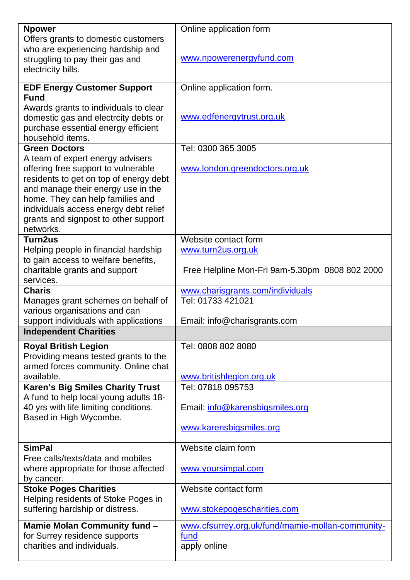| <b>Npower</b>                              | Online application form                          |
|--------------------------------------------|--------------------------------------------------|
| Offers grants to domestic customers        |                                                  |
| who are experiencing hardship and          |                                                  |
|                                            | www.npowerenergyfund.com                         |
| struggling to pay their gas and            |                                                  |
| electricity bills.                         |                                                  |
| <b>EDF Energy Customer Support</b>         | Online application form.                         |
| <b>Fund</b>                                |                                                  |
| Awards grants to individuals to clear      |                                                  |
| domestic gas and electrcity debts or       | www.edfenergytrust.org.uk                        |
| purchase essential energy efficient        |                                                  |
| household items.                           |                                                  |
| <b>Green Doctors</b>                       | Tel: 0300 365 3005                               |
| A team of expert energy advisers           |                                                  |
| offering free support to vulnerable        | www.london.greendoctors.org.uk                   |
| residents to get on top of energy debt     |                                                  |
| and manage their energy use in the         |                                                  |
| home. They can help families and           |                                                  |
| individuals access energy debt relief      |                                                  |
| grants and signpost to other support       |                                                  |
| networks.                                  |                                                  |
| Turn2us                                    | Website contact form                             |
| Helping people in financial hardship       | www.turn2us.org.uk                               |
| to gain access to welfare benefits,        |                                                  |
| charitable grants and support              | Free Helpline Mon-Fri 9am-5.30pm 0808 802 2000   |
| services.                                  |                                                  |
| <b>Charis</b>                              | www.charisgrants.com/individuals                 |
| Manages grant schemes on behalf of         | Tel: 01733 421021                                |
| various organisations and can              |                                                  |
| support individuals with applications      | Email: info@charisgrants.com                     |
| <b>Independent Charities</b>               |                                                  |
| <b>Royal British Legion</b>                | Tel: 0808 802 8080                               |
| Providing means tested grants to the       |                                                  |
| armed forces community. Online chat        |                                                  |
| available.                                 | www.britishlegion.org.uk                         |
| Karen's Big Smiles Charity Trust           | Tel: 07818 095753                                |
| A fund to help local young adults 18-      |                                                  |
| 40 yrs with life limiting conditions.      | Email: info@karensbigsmiles.org                  |
| Based in High Wycombe.                     |                                                  |
|                                            | www.karensbigsmiles.org                          |
|                                            |                                                  |
| <b>SimPal</b>                              | Website claim form                               |
| Free calls/texts/data and mobiles          |                                                  |
| where appropriate for those affected       | www.yoursimpal.com                               |
| by cancer.<br><b>Stoke Poges Charities</b> | Website contact form                             |
| Helping residents of Stoke Poges in        |                                                  |
| suffering hardship or distress.            | www.stokepogescharities.com                      |
|                                            |                                                  |
| Mamie Molan Community fund -               | www.cfsurrey.org.uk/fund/mamie-mollan-community- |
| for Surrey residence supports              | fund                                             |
| charities and individuals.                 | apply online                                     |
|                                            |                                                  |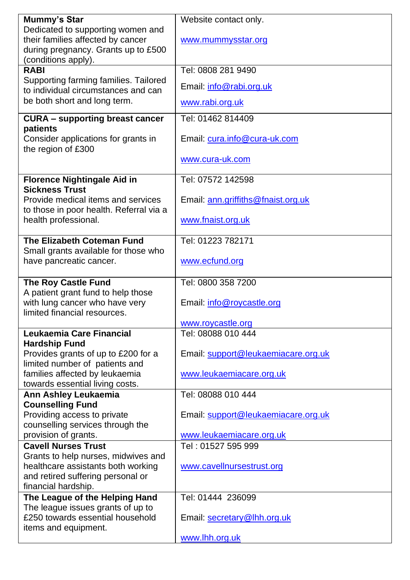| Mummy's Star                                                                 | Website contact only.               |
|------------------------------------------------------------------------------|-------------------------------------|
| Dedicated to supporting women and                                            |                                     |
| their families affected by cancer                                            | www.mummysstar.org                  |
| during pregnancy. Grants up to £500                                          |                                     |
| (conditions apply).                                                          |                                     |
| <b>RABI</b>                                                                  | Tel: 0808 281 9490                  |
| Supporting farming families. Tailored<br>to individual circumstances and can | Email: info@rabi.org.uk             |
| be both short and long term.                                                 | www.rabi.org.uk                     |
| <b>CURA - supporting breast cancer</b>                                       | Tel: 01462 814409                   |
| patients                                                                     |                                     |
| Consider applications for grants in                                          | Email: cura.info@cura-uk.com        |
| the region of £300                                                           |                                     |
|                                                                              | www.cura-uk.com                     |
|                                                                              |                                     |
| <b>Florence Nightingale Aid in</b>                                           | Tel: 07572 142598                   |
| <b>Sickness Trust</b>                                                        |                                     |
| Provide medical items and services                                           | Email: ann.griffiths@fnaist.org.uk  |
| to those in poor health. Referral via a                                      |                                     |
| health professional.                                                         | www.fnaist.org.uk                   |
| The Elizabeth Coteman Fund                                                   | Tel: 01223 782171                   |
| Small grants available for those who                                         |                                     |
| have pancreatic cancer.                                                      | www.ecfund.org                      |
|                                                                              |                                     |
| <b>The Roy Castle Fund</b>                                                   | Tel: 0800 358 7200                  |
| A patient grant fund to help those                                           |                                     |
|                                                                              |                                     |
|                                                                              |                                     |
| with lung cancer who have very<br>limited financial resources.               | Email: info@roycastle.org           |
|                                                                              | www.roycastle.org                   |
| Leukaemia Care Financial                                                     | Tel: 08088 010 444                  |
| <b>Hardship Fund</b>                                                         |                                     |
| Provides grants of up to £200 for a                                          | Email: support@leukaemiacare.org.uk |
| limited number of patients and                                               |                                     |
| families affected by leukaemia                                               | www.leukaemiacare.org.uk            |
| towards essential living costs.                                              |                                     |
| Ann Ashley Leukaemia                                                         | Tel: 08088 010 444                  |
| <b>Counselling Fund</b>                                                      |                                     |
| Providing access to private                                                  | Email: support@leukaemiacare.org.uk |
| counselling services through the                                             |                                     |
| provision of grants.                                                         | www.leukaemiacare.org.uk            |
| <b>Cavell Nurses Trust</b>                                                   | Tel: 01527 595 999                  |
| Grants to help nurses, midwives and                                          |                                     |
| healthcare assistants both working                                           | www.cavellnursestrust.org           |
| and retired suffering personal or                                            |                                     |
| financial hardship.                                                          |                                     |
| The League of the Helping Hand                                               | Tel: 01444 236099                   |
| The league issues grants of up to<br>£250 towards essential household        |                                     |
| items and equipment.                                                         | Email: secretary@lhh.org.uk         |